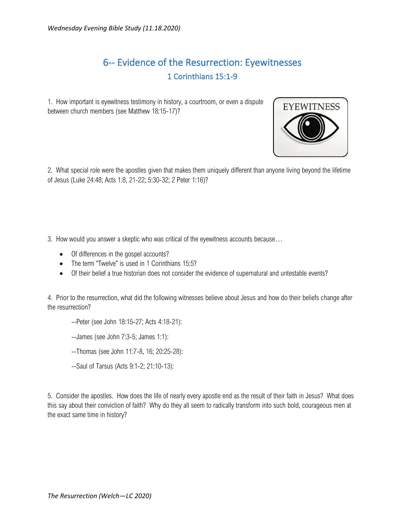## 6-- Evidence of the Resurrection: Eyewitnesses 1 Corinthians 15:1-9

1. How important is eyewitness testimony in history, a courtroom, or even a dispute between church members (see Matthew 18:15-17)?



2. What special role were the apostles given that makes them uniquely different than anyone living beyond the lifetime of Jesus (Luke 24:48; Acts 1:8, 21-22; 5:30-32; 2 Peter 1:16)?

- 3. How would you answer a skeptic who was critical of the eyewitness accounts because…
	- Of differences in the gospel accounts?
	- The term "Twelve" is used in 1 Corinthians 15:5?
	- Of their belief a true historian does not consider the evidence of supernatural and untestable events?

4. Prior to the resurrection, what did the following witnesses believe about Jesus and how do their beliefs change after the resurrection?

- --Peter (see John 18:15-27; Acts 4:18-21):
- --James (see John 7:3-5; James 1:1):
- --Thomas (see John 11:7-8, 16; 20:25-28):
- --Saul of Tarsus (Acts 9:1-2; 21:10-13):

5. Consider the apostles. How does the life of nearly every apostle end as the result of their faith in Jesus? What does this say about their conviction of faith? Why do they all seem to radically transform into such bold, courageous men at the exact same time in history?